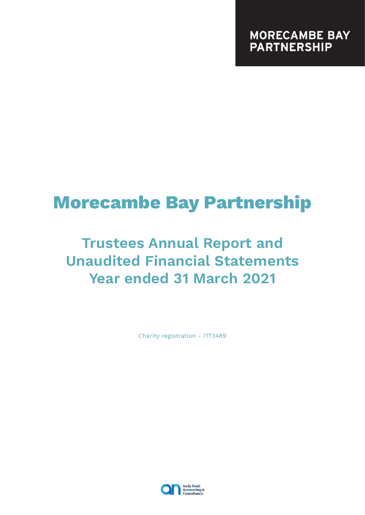# **Morecambe Bay Partnership**

# **Trustees Annual Report and Unaudited Financial Statements Year ended 31 March 2021**

Charity registration - 1173489

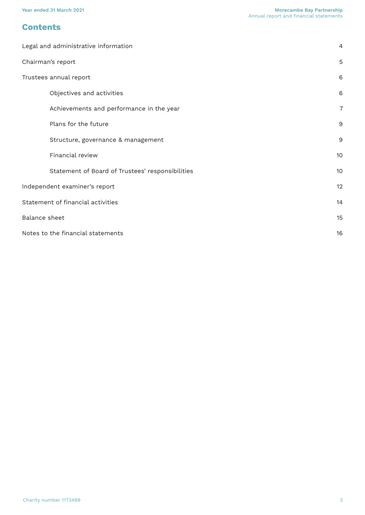# **Contents**

| Legal and administrative information             | $\overline{4}$ |
|--------------------------------------------------|----------------|
| Chairman's report                                | 5              |
| Trustees annual report                           | 6              |
| Objectives and activities                        | 6              |
| Achievements and performance in the year         | $\overline{7}$ |
| Plans for the future                             | 9              |
| Structure, governance & management               | 9              |
| Financial review                                 | 10             |
| Statement of Board of Trustees' responsibilities | 10             |
| Independent examiner's report                    | 12             |
| Statement of financial activities                | 14             |
| Balance sheet                                    | 15             |
| Notes to the financial statements                | 16             |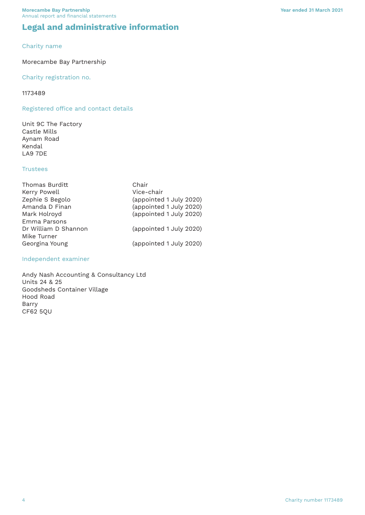# <span id="page-3-0"></span>**Legal and administrative information**

#### Charity name

#### Morecambe Bay Partnership

#### Charity registration no.

#### 1173489

#### Registered office and contact details

Unit 9C The Factory Castle Mills Aynam Road Kendal LA9 7DE

#### **Trustees**

| Thomas Burditt       | Chair                   |
|----------------------|-------------------------|
| Kerry Powell         | Vice-chair              |
| Zephie S Begolo      | (appointed 1 July 2020) |
| Amanda D Finan       | (appointed 1 July 2020) |
| Mark Holroyd         | (appointed 1 July 2020) |
| Emma Parsons         |                         |
| Dr William D Shannon | (appointed 1 July 2020) |
| Mike Turner          |                         |
| Georgina Young       | (appointed 1 July 2020) |

#### Independent examiner

Andy Nash Accounting & Consultancy Ltd Units 24 & 25 Goodsheds Container Village Hood Road Barry CF62 5QU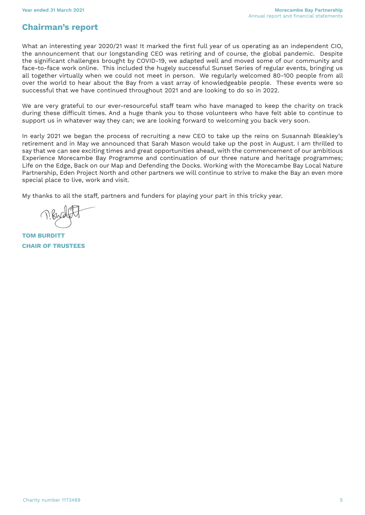# <span id="page-4-0"></span>**Chairman's report**

What an interesting year 2020/21 was! It marked the first full year of us operating as an independent CIO, the announcement that our longstanding CEO was retiring and of course, the global pandemic. Despite the significant challenges brought by COVID-19, we adapted well and moved some of our community and face-to-face work online. This included the hugely successful Sunset Series of regular events, bringing us all together virtually when we could not meet in person. We regularly welcomed 80-100 people from all over the world to hear about the Bay from a vast array of knowledgeable people. These events were so successful that we have continued throughout 2021 and are looking to do so in 2022.

We are very grateful to our ever-resourceful staff team who have managed to keep the charity on track during these difficult times. And a huge thank you to those volunteers who have felt able to continue to support us in whatever way they can; we are looking forward to welcoming you back very soon.

In early 2021 we began the process of recruiting a new CEO to take up the reins on Susannah Bleakley's retirement and in May we announced that Sarah Mason would take up the post in August. I am thrilled to say that we can see exciting times and great opportunities ahead, with the commencement of our ambitious Experience Morecambe Bay Programme and continuation of our three nature and heritage programmes; Life on the Edge, Back on our Map and Defending the Docks. Working with the Morecambe Bay Local Nature Partnership, Eden Project North and other partners we will continue to strive to make the Bay an even more special place to live, work and visit.

My thanks to all the staff, partners and funders for playing your part in this tricky year.

**TOM BURDITT CHAIR OF TRUSTEES**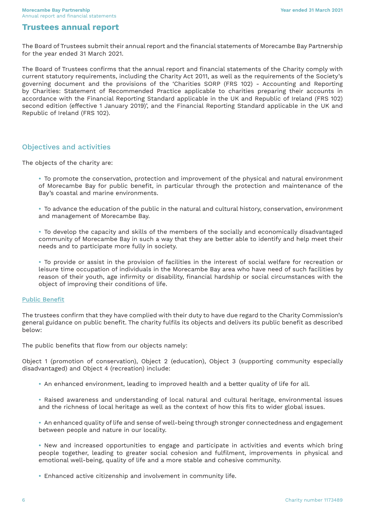# <span id="page-5-0"></span>**Trustees annual report**

The Board of Trustees submit their annual report and the financial statements of Morecambe Bay Partnership for the year ended 31 March 2021.

The Board of Trustees confirms that the annual report and financial statements of the Charity comply with current statutory requirements, including the Charity Act 2011, as well as the requirements of the Society's governing document and the provisions of the 'Charities SORP (FRS 102) - Accounting and Reporting by Charities: Statement of Recommended Practice applicable to charities preparing their accounts in accordance with the Financial Reporting Standard applicable in the UK and Republic of Ireland (FRS 102) second edition (effective 1 January 2019)', and the Financial Reporting Standard applicable in the UK and Republic of Ireland (FRS 102).

#### Objectives and activities

The objects of the charity are:

- **•** To promote the conservation, protection and improvement of the physical and natural environment of Morecambe Bay for public benefit, in particular through the protection and maintenance of the Bay's coastal and marine environments.
- **•** To advance the education of the public in the natural and cultural history, conservation, environment and management of Morecambe Bay.
- **•** To develop the capacity and skills of the members of the socially and economically disadvantaged community of Morecambe Bay in such a way that they are better able to identify and help meet their needs and to participate more fully in society.
- **•** To provide or assist in the provision of facilities in the interest of social welfare for recreation or leisure time occupation of individuals in the Morecambe Bay area who have need of such facilities by reason of their youth, age infirmity or disability, financial hardship or social circumstances with the object of improving their conditions of life.

#### Public Benefit

The trustees confirm that they have complied with their duty to have due regard to the Charity Commission's general guidance on public benefit. The charity fulfils its objects and delivers its public benefit as described below:

The public benefits that flow from our objects namely:

Object 1 (promotion of conservation), Object 2 (education), Object 3 (supporting community especially disadvantaged) and Object 4 (recreation) include:

- **•** An enhanced environment, leading to improved health and a better quality of life for all.
- **•** Raised awareness and understanding of local natural and cultural heritage, environmental issues and the richness of local heritage as well as the context of how this fits to wider global issues.
- **•** An enhanced quality of life and sense of well-being through stronger connectedness and engagement between people and nature in our locality.

**•** New and increased opportunities to engage and participate in activities and events which bring people together, leading to greater social cohesion and fulfilment, improvements in physical and emotional well-being, quality of life and a more stable and cohesive community.

**•** Enhanced active citizenship and involvement in community life.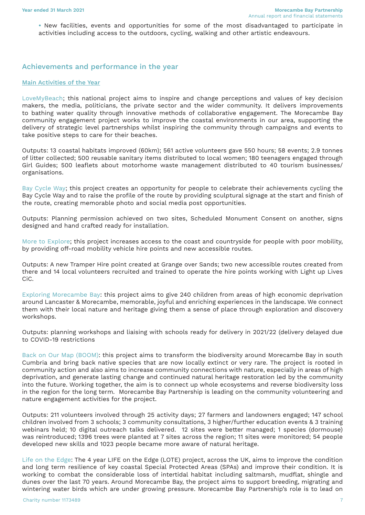<span id="page-6-0"></span>**•** New facilities, events and opportunities for some of the most disadvantaged to participate in activities including access to the outdoors, cycling, walking and other artistic endeavours.

#### Achievements and performance in the year

#### Main Activities of the Year

LoveMyBeach; this national project aims to inspire and change perceptions and values of key decision makers, the media, politicians, the private sector and the wider community. It delivers improvements to bathing water quality through innovative methods of collaborative engagement. The Morecambe Bay community engagement project works to improve the coastal environments in our area, supporting the delivery of strategic level partnerships whilst inspiring the community through campaigns and events to take positive steps to care for their beaches.

Outputs: 13 coastal habitats improved (60km); 561 active volunteers gave 550 hours; 58 events; 2.9 tonnes of litter collected; 500 reusable sanitary items distributed to local women; 180 teenagers engaged through Girl Guides; 500 leaflets about motorhome waste management distributed to 40 tourism businesses/ organisations.

Bay Cycle Way; this project creates an opportunity for people to celebrate their achievements cycling the Bay Cycle Way and to raise the profile of the route by providing sculptural signage at the start and finish of the route, creating memorable photo and social media post opportunities.

Outputs: Planning permission achieved on two sites, Scheduled Monument Consent on another, signs designed and hand crafted ready for installation.

More to Explore; this project increases access to the coast and countryside for people with poor mobility, by providing off-road mobility vehicle hire points and new accessible routes.

Outputs: A new Tramper Hire point created at Grange over Sands; two new accessible routes created from there and 14 local volunteers recruited and trained to operate the hire points working with Light up Lives CiC.

Exploring Morecambe Bay: this project aims to give 240 children from areas of high economic deprivation around Lancaster & Morecambe, memorable, joyful and enriching experiences in the landscape. We connect them with their local nature and heritage giving them a sense of place through exploration and discovery workshops.

Outputs: planning workshops and liaising with schools ready for delivery in 2021/22 (delivery delayed due to COVID-19 restrictions

Back on Our Map (BOOM): this project aims to transform the biodiversity around Morecambe Bay in south Cumbria and bring back native species that are now locally extinct or very rare. The project is rooted in community action and also aims to increase community connections with nature, especially in areas of high deprivation, and generate lasting change and continued natural heritage restoration led by the community into the future. Working together, the aim is to connect up whole ecosystems and reverse biodiversity loss in the region for the long term. Morecambe Bay Partnership is leading on the community volunteering and nature engagement activities for the project.

Outputs: 211 volunteers involved through 25 activity days; 27 farmers and landowners engaged; 147 school children involved from 3 schools; 3 community consultations, 3 higher/further education events & 3 training webinars held; 10 digital outreach talks delivered. 12 sites were better managed; 1 species (dormouse) was reintroduced; 1396 trees were planted at 7 sites across the region; 11 sites were monitored; 54 people developed new skills and 1023 people became more aware of natural heritage.

Life on the Edge: The 4 year LIFE on the Edge (LOTE) project, across the UK, aims to improve the condition and long term resilience of key coastal Special Protected Areas (SPAs) and improve their condition. It is working to combat the considerable loss of intertidal habitat including saltmarsh, mudflat, shingle and dunes over the last 70 years. Around Morecambe Bay, the project aims to support breeding, migrating and wintering water birds which are under growing pressure. Morecambe Bay Partnership's role is to lead on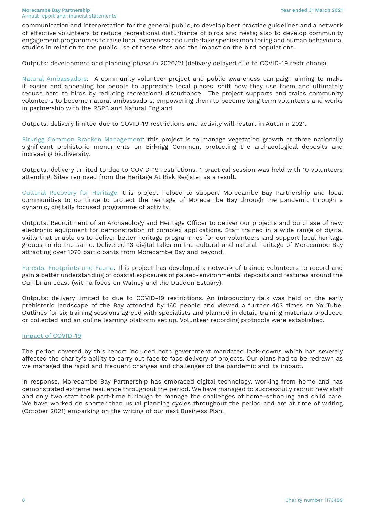communication and interpretation for the general public, to develop best practice guidelines and a network of effective volunteers to reduce recreational disturbance of birds and nests; also to develop community engagement programmes to raise local awareness and undertake species monitoring and human behavioural studies in relation to the public use of these sites and the impact on the bird populations.

Outputs: development and planning phase in 2020/21 (delivery delayed due to COVID-19 restrictions).

Natural Ambassadors: A community volunteer project and public awareness campaign aiming to make it easier and appealing for people to appreciate local places, shift how they use them and ultimately reduce hard to birds by reducing recreational disturbance. The project supports and trains community volunteers to become natural ambassadors, empowering them to become long term volunteers and works in partnership with the RSPB and Natural England.

Outputs: delivery limited due to COVID-19 restrictions and activity will restart in Autumn 2021.

Birkrigg Common Bracken Management: this project is to manage vegetation growth at three nationally significant prehistoric monuments on Birkrigg Common, protecting the archaeological deposits and increasing biodiversity.

Outputs: delivery limited to due to COVID-19 restrictions. 1 practical session was held with 10 volunteers attending. Sites removed from the Heritage At Risk Register as a result.

Cultural Recovery for Heritage: this project helped to support Morecambe Bay Partnership and local communities to continue to protect the heritage of Morecambe Bay through the pandemic through a dynamic, digitally focused programme of activity.

Outputs: Recruitment of an Archaeology and Heritage Officer to deliver our projects and purchase of new electronic equipment for demonstration of complex applications. Staff trained in a wide range of digital skills that enable us to deliver better heritage programmes for our volunteers and support local heritage groups to do the same. Delivered 13 digital talks on the cultural and natural heritage of Morecambe Bay attracting over 1070 participants from Morecambe Bay and beyond.

Forests. Footprints and Fauna: This project has developed a network of trained volunteers to record and gain a better understanding of coastal exposures of palaeo-environmental deposits and features around the Cumbrian coast (with a focus on Walney and the Duddon Estuary).

Outputs: delivery limited to due to COVID-19 restrictions. An introductory talk was held on the early prehistoric landscape of the Bay attended by 160 people and viewed a further 403 times on YouTube. Outlines for six training sessions agreed with specialists and planned in detail; training materials produced or collected and an online learning platform set up. Volunteer recording protocols were established.

#### Impact of COVID-19

The period covered by this report included both government mandated lock-downs which has severely affected the charity's ability to carry out face to face delivery of projects. Our plans had to be redrawn as we managed the rapid and frequent changes and challenges of the pandemic and its impact.

In response, Morecambe Bay Partnership has embraced digital technology, working from home and has demonstrated extreme resilience throughout the period. We have managed to successfully recruit new staff and only two staff took part-time furlough to manage the challenges of home-schooling and child care. We have worked on shorter than usual planning cycles throughout the period and are at time of writing (October 2021) embarking on the writing of our next Business Plan.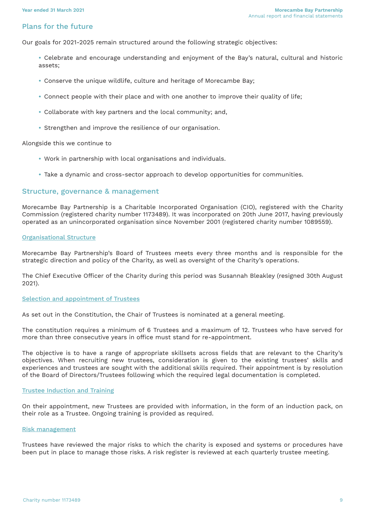#### <span id="page-8-0"></span>Plans for the future

Our goals for 2021-2025 remain structured around the following strategic objectives:

- **•** Celebrate and encourage understanding and enjoyment of the Bay's natural, cultural and historic assets;
- **•** Conserve the unique wildlife, culture and heritage of Morecambe Bay;
- **•** Connect people with their place and with one another to improve their quality of life;
- **•** Collaborate with key partners and the local community; and,
- **•** Strengthen and improve the resilience of our organisation.

Alongside this we continue to

- **•** Work in partnership with local organisations and individuals.
- **•** Take a dynamic and cross-sector approach to develop opportunities for communities.

#### Structure, governance & management

Morecambe Bay Partnership is a Charitable Incorporated Organisation (CIO), registered with the Charity Commission (registered charity number 1173489). It was incorporated on 20th June 2017, having previously operated as an unincorporated organisation since November 2001 (registered charity number 1089559).

#### Organisational Structure

Morecambe Bay Partnership's Board of Trustees meets every three months and is responsible for the strategic direction and policy of the Charity, as well as oversight of the Charity's operations.

The Chief Executive Officer of the Charity during this period was Susannah Bleakley (resigned 30th August 2021).

#### Selection and appointment of Trustees

As set out in the Constitution, the Chair of Trustees is nominated at a general meeting.

The constitution requires a minimum of 6 Trustees and a maximum of 12. Trustees who have served for more than three consecutive years in office must stand for re-appointment.

The objective is to have a range of appropriate skillsets across fields that are relevant to the Charity's objectives. When recruiting new trustees, consideration is given to the existing trustees' skills and experiences and trustees are sought with the additional skills required. Their appointment is by resolution of the Board of Directors/Trustees following which the required legal documentation is completed.

#### Trustee Induction and Training

On their appointment, new Trustees are provided with information, in the form of an induction pack, on their role as a Trustee. Ongoing training is provided as required.

#### Risk management

Trustees have reviewed the major risks to which the charity is exposed and systems or procedures have been put in place to manage those risks. A risk register is reviewed at each quarterly trustee meeting.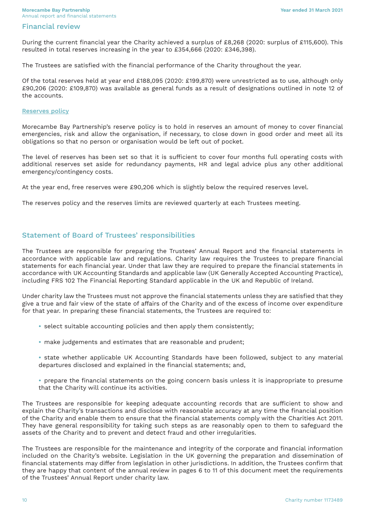#### <span id="page-9-0"></span>Financial review

During the current financial year the Charity achieved a surplus of £8,268 (2020: surplus of £115,600). This resulted in total reserves increasing in the year to £354,666 (2020: £346,398).

The Trustees are satisfied with the financial performance of the Charity throughout the year.

Of the total reserves held at year end £188,095 (2020: £199,870) were unrestricted as to use, although only £90,206 (2020: £109,870) was available as general funds as a result of designations outlined in note 12 of the accounts.

#### Reserves policy

Morecambe Bay Partnership's reserve policy is to hold in reserves an amount of money to cover financial emergencies, risk and allow the organisation, if necessary, to close down in good order and meet all its obligations so that no person or organisation would be left out of pocket.

The level of reserves has been set so that it is sufficient to cover four months full operating costs with additional reserves set aside for redundancy payments, HR and legal advice plus any other additional emergency/contingency costs.

At the year end, free reserves were £90,206 which is slightly below the required reserves level.

The reserves policy and the reserves limits are reviewed quarterly at each Trustees meeting.

#### Statement of Board of Trustees' responsibilities

The Trustees are responsible for preparing the Trustees' Annual Report and the financial statements in accordance with applicable law and regulations. Charity law requires the Trustees to prepare financial statements for each financial year. Under that law they are required to prepare the financial statements in accordance with UK Accounting Standards and applicable law (UK Generally Accepted Accounting Practice), including FRS 102 The Financial Reporting Standard applicable in the UK and Republic of Ireland.

Under charity law the Trustees must not approve the financial statements unless they are satisfied that they give a true and fair view of the state of affairs of the Charity and of the excess of income over expenditure for that year. In preparing these financial statements, the Trustees are required to:

- **•** select suitable accounting policies and then apply them consistently;
- **•** make judgements and estimates that are reasonable and prudent;
- **•** state whether applicable UK Accounting Standards have been followed, subject to any material departures disclosed and explained in the financial statements; and,
- prepare the financial statements on the going concern basis unless it is inappropriate to presume that the Charity will continue its activities.

The Trustees are responsible for keeping adequate accounting records that are sufficient to show and explain the Charity's transactions and disclose with reasonable accuracy at any time the financial position of the Charity and enable them to ensure that the financial statements comply with the Charities Act 2011. They have general responsibility for taking such steps as are reasonably open to them to safeguard the assets of the Charity and to prevent and detect fraud and other irregularities.

The Trustees are responsible for the maintenance and integrity of the corporate and financial information included on the Charity's website. Legislation in the UK governing the preparation and dissemination of financial statements may differ from legislation in other jurisdictions. In addition, the Trustees confirm that they are happy that content of the annual review in pages 6 to 11 of this document meet the requirements of the Trustees' Annual Report under charity law.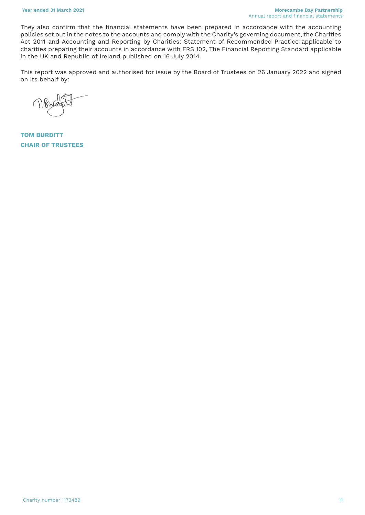They also confirm that the financial statements have been prepared in accordance with the accounting policies set out in the notes to the accounts and comply with the Charity's governing document, the Charities Act 2011 and Accounting and Reporting by Charities: Statement of Recommended Practice applicable to charities preparing their accounts in accordance with FRS 102, The Financial Reporting Standard applicable in the UK and Republic of Ireland published on 16 July 2014.

This report was approved and authorised for issue by the Board of Trustees on 26 January 2022 and signed on its behalf by:

 $\bigcap$ 

**TOM BURDITT CHAIR OF TRUSTEES**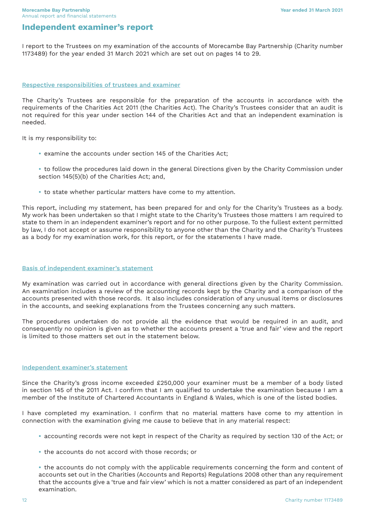# <span id="page-11-0"></span>**Independent examiner's report**

I report to the Trustees on my examination of the accounts of Morecambe Bay Partnership (Charity number 1173489) for the year ended 31 March 2021 which are set out on pages 14 to 29.

#### Respective responsibilities of trustees and examiner

The Charity's Trustees are responsible for the preparation of the accounts in accordance with the requirements of the Charities Act 2011 (the Charities Act). The Charity's Trustees consider that an audit is not required for this year under section 144 of the Charities Act and that an independent examination is needed.

It is my responsibility to:

**•** examine the accounts under section 145 of the Charities Act;

**•** to follow the procedures laid down in the general Directions given by the Charity Commission under section 145(5)(b) of the Charities Act; and,

**•** to state whether particular matters have come to my attention.

This report, including my statement, has been prepared for and only for the Charity's Trustees as a body. My work has been undertaken so that I might state to the Charity's Trustees those matters I am required to state to them in an independent examiner's report and for no other purpose. To the fullest extent permitted by law, I do not accept or assume responsibility to anyone other than the Charity and the Charity's Trustees as a body for my examination work, for this report, or for the statements I have made.

#### Basis of independent examiner's statement

My examination was carried out in accordance with general directions given by the Charity Commission. An examination includes a review of the accounting records kept by the Charity and a comparison of the accounts presented with those records. It also includes consideration of any unusual items or disclosures in the accounts, and seeking explanations from the Trustees concerning any such matters.

The procedures undertaken do not provide all the evidence that would be required in an audit, and consequently no opinion is given as to whether the accounts present a 'true and fair' view and the report is limited to those matters set out in the statement below.

#### Independent examiner's statement

Since the Charity's gross income exceeded £250,000 your examiner must be a member of a body listed in section 145 of the 2011 Act. I confirm that I am qualified to undertake the examination because I am a member of the Institute of Chartered Accountants in England & Wales, which is one of the listed bodies.

I have completed my examination. I confirm that no material matters have come to my attention in connection with the examination giving me cause to believe that in any material respect:

- **•** accounting records were not kept in respect of the Charity as required by section 130 of the Act; or
- **•** the accounts do not accord with those records; or

**•** the accounts do not comply with the applicable requirements concerning the form and content of accounts set out in the Charities (Accounts and Reports) Regulations 2008 other than any requirement that the accounts give a 'true and fair view' which is not a matter considered as part of an independent examination.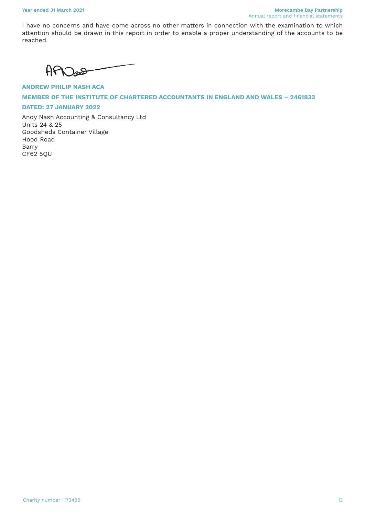I have no concerns and have come across no other matters in connection with the examination to which attention should be drawn in this report in order to enable a proper understanding of the accounts to be reached.

 $APD$ 

**ANDREW PHILIP NASH ACA MEMBER OF THE INSTITUTE OF CHARTERED ACCOUNTANTS IN ENGLAND AND WALES – 2461833**

#### **DATED: 27 JANUARY 2022**

Andy Nash Accounting & Consultancy Ltd Units 24 & 25 Goodsheds Container Village Hood Road Barry CF62 5QU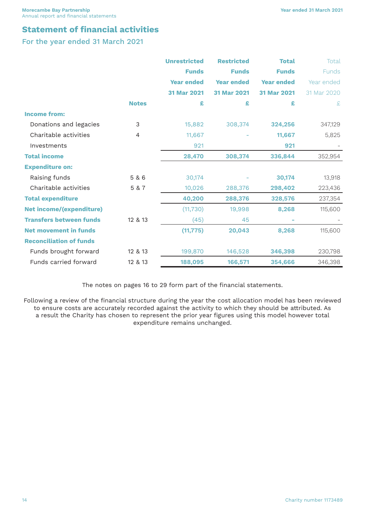# <span id="page-13-0"></span>**Statement of financial activities**

For the year ended 31 March 2021

|                                 |              | <b>Unrestricted</b> | <b>Restricted</b> | <b>Total</b>      | Total        |
|---------------------------------|--------------|---------------------|-------------------|-------------------|--------------|
|                                 |              | <b>Funds</b>        | <b>Funds</b>      | <b>Funds</b>      | <b>Funds</b> |
|                                 |              | <b>Year ended</b>   | <b>Year ended</b> | <b>Year ended</b> | Year ended   |
|                                 |              | 31 Mar 2021         | 31 Mar 2021       | 31 Mar 2021       | 31 Mar 2020  |
|                                 | <b>Notes</b> | £                   | £                 | £                 | £            |
| <b>Income from:</b>             |              |                     |                   |                   |              |
| Donations and legacies          | 3            | 15,882              | 308,374           | 324,256           | 347,129      |
| Charitable activities           | 4            | 11,667              |                   | 11,667            | 5,825        |
| Investments                     |              | 921                 |                   | 921               |              |
| <b>Total income</b>             |              | 28,470              | 308,374           | 336,844           | 352,954      |
| <b>Expenditure on:</b>          |              |                     |                   |                   |              |
| Raising funds                   | 5 & 6        | 30,174              |                   | 30,174            | 13,918       |
| Charitable activities           | 5 & 7        | 10,026              | 288,376           | 298,402           | 223,436      |
| <b>Total expenditure</b>        |              | 40,200              | 288,376           | 328,576           | 237,354      |
| <b>Net income/(expenditure)</b> |              | (11, 730)           | 19,998            | 8,268             | 115,600      |
| <b>Transfers between funds</b>  | 12 & 13      | (45)                | 45                | ÷                 |              |
| <b>Net movement in funds</b>    |              | (11, 775)           | 20,043            | 8,268             | 115,600      |
| <b>Reconciliation of funds</b>  |              |                     |                   |                   |              |
| Funds brought forward           | 12 & 13      | 199,870             | 146,528           | 346,398           | 230,798      |
| Funds carried forward           | 12 & 13      | 188,095             | 166,571           | 354,666           | 346,398      |

The notes on pages 16 to 29 form part of the financial statements.

Following a review of the financial structure during the year the cost allocation model has been reviewed to ensure costs are accurately recorded against the activity to which they should be attributed. As a result the Charity has chosen to represent the prior year figures using this model however total expenditure remains unchanged.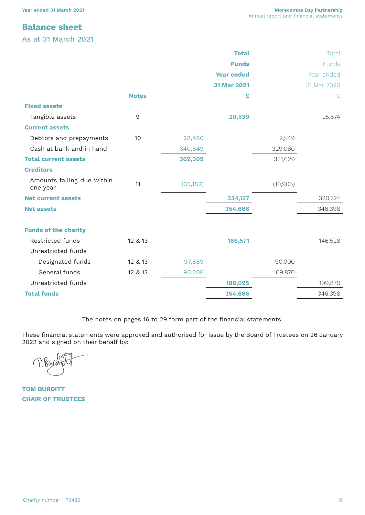# <span id="page-14-0"></span>**Balance sheet**

As at 31 March 2021

|                                        |                  |           | <b>Total</b>      |           | Total        |
|----------------------------------------|------------------|-----------|-------------------|-----------|--------------|
|                                        |                  |           | <b>Funds</b>      |           | <b>Funds</b> |
|                                        |                  |           | <b>Year ended</b> |           | Year ended   |
|                                        |                  |           | 31 Mar 2021       |           | 31 Mar 2020  |
|                                        | <b>Notes</b>     |           | £                 |           | £            |
| <b>Fixed assets</b>                    |                  |           |                   |           |              |
| Tangible assets                        | $\boldsymbol{9}$ |           | 20,539            |           | 25,674       |
| <b>Current assets</b>                  |                  |           |                   |           |              |
| Debtors and prepayments                | 10               | 28,460    |                   | 2,549     |              |
| Cash at bank and in hand               |                  | 340,849   |                   | 329,080   |              |
| <b>Total current assets</b>            |                  | 369,309   |                   | 331,629   |              |
| <b>Creditors</b>                       |                  |           |                   |           |              |
| Amounts falling due within<br>one year | 11               | (35, 182) |                   | (10, 905) |              |
| <b>Net current assets</b>              |                  |           | 334,127           |           | 320,724      |
| <b>Net assets</b>                      |                  |           | 354,666           |           | 346,398      |
| <b>Funds of the charity</b>            |                  |           |                   |           |              |
| Restricted funds                       | 12 & 13          |           | 166,571           |           | 146,528      |
| Unrestricted funds                     |                  |           |                   |           |              |
| Designated funds                       | 12 & 13          | 97,889    |                   | 90,000    |              |
| General funds                          | 12 & 13          | 90,206    |                   | 109,870   |              |
| Unrestricted funds                     |                  |           | 188,095           |           | 199,870      |
| <b>Total funds</b>                     |                  |           | 354,666           |           | 346,398      |

The notes on pages 16 to 29 form part of the financial statements.

These financial statements were approved and authorised for issue by the Board of Trustees on 26 January 2022 and signed on their behalf by:

 $\left(\begin{array}{c} \end{array}\right)$ 

**TOM BURDITT CHAIR OF TRUSTEES**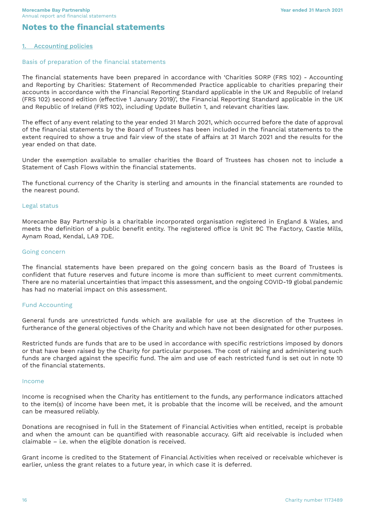# <span id="page-15-0"></span>**Notes to the financial statements**

#### **1. Accounting policies**

#### Basis of preparation of the financial statements

The financial statements have been prepared in accordance with 'Charities SORP (FRS 102) - Accounting and Reporting by Charities: Statement of Recommended Practice applicable to charities preparing their accounts in accordance with the Financial Reporting Standard applicable in the UK and Republic of Ireland (FRS 102) second edition (effective 1 January 2019)', the Financial Reporting Standard applicable in the UK and Republic of Ireland (FRS 102), including Update Bulletin 1, and relevant charities law.

The effect of any event relating to the year ended 31 March 2021, which occurred before the date of approval of the financial statements by the Board of Trustees has been included in the financial statements to the extent required to show a true and fair view of the state of affairs at 31 March 2021 and the results for the year ended on that date.

Under the exemption available to smaller charities the Board of Trustees has chosen not to include a Statement of Cash Flows within the financial statements.

The functional currency of the Charity is sterling and amounts in the financial statements are rounded to the nearest pound.

#### Legal status

Morecambe Bay Partnership is a charitable incorporated organisation registered in England & Wales, and meets the definition of a public benefit entity. The registered office is Unit 9C The Factory, Castle Mills, Aynam Road, Kendal, LA9 7DE.

#### Going concern

The financial statements have been prepared on the going concern basis as the Board of Trustees is confident that future reserves and future income is more than sufficient to meet current commitments. There are no material uncertainties that impact this assessment, and the ongoing COVID-19 global pandemic has had no material impact on this assessment.

#### Fund Accounting

General funds are unrestricted funds which are available for use at the discretion of the Trustees in furtherance of the general objectives of the Charity and which have not been designated for other purposes.

Restricted funds are funds that are to be used in accordance with specific restrictions imposed by donors or that have been raised by the Charity for particular purposes. The cost of raising and administering such funds are charged against the specific fund. The aim and use of each restricted fund is set out in note 10 of the financial statements.

#### Income

Income is recognised when the Charity has entitlement to the funds, any performance indicators attached to the item(s) of income have been met, it is probable that the income will be received, and the amount can be measured reliably.

Donations are recognised in full in the Statement of Financial Activities when entitled, receipt is probable and when the amount can be quantified with reasonable accuracy. Gift aid receivable is included when claimable – i.e. when the eligible donation is received.

Grant income is credited to the Statement of Financial Activities when received or receivable whichever is earlier, unless the grant relates to a future year, in which case it is deferred.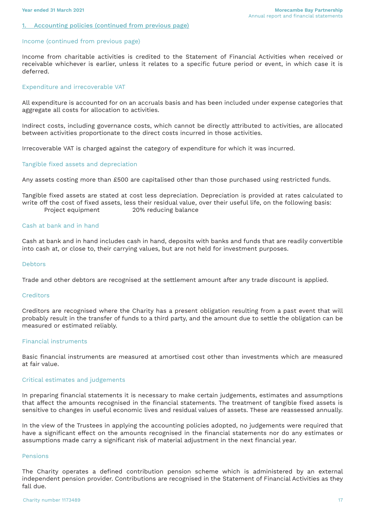#### 1. Accounting policies (continued from previous page)

#### Income (continued from previous page)

Income from charitable activities is credited to the Statement of Financial Activities when received or receivable whichever is earlier, unless it relates to a specific future period or event, in which case it is deferred.

#### Expenditure and irrecoverable VAT

All expenditure is accounted for on an accruals basis and has been included under expense categories that aggregate all costs for allocation to activities.

Indirect costs, including governance costs, which cannot be directly attributed to activities, are allocated between activities proportionate to the direct costs incurred in those activities.

Irrecoverable VAT is charged against the category of expenditure for which it was incurred.

#### Tangible fixed assets and depreciation

Any assets costing more than £500 are capitalised other than those purchased using restricted funds.

Tangible fixed assets are stated at cost less depreciation. Depreciation is provided at rates calculated to write off the cost of fixed assets, less their residual value, over their useful life, on the following basis: Project equipment 20% reducing balance

#### Cash at bank and in hand

Cash at bank and in hand includes cash in hand, deposits with banks and funds that are readily convertible into cash at, or close to, their carrying values, but are not held for investment purposes.

#### Debtors

Trade and other debtors are recognised at the settlement amount after any trade discount is applied.

#### **Creditors**

Creditors are recognised where the Charity has a present obligation resulting from a past event that will probably result in the transfer of funds to a third party, and the amount due to settle the obligation can be measured or estimated reliably.

#### Financial instruments

Basic financial instruments are measured at amortised cost other than investments which are measured at fair value.

#### Critical estimates and judgements

In preparing financial statements it is necessary to make certain judgements, estimates and assumptions that affect the amounts recognised in the financial statements. The treatment of tangible fixed assets is sensitive to changes in useful economic lives and residual values of assets. These are reassessed annually.

In the view of the Trustees in applying the accounting policies adopted, no judgements were required that have a significant effect on the amounts recognised in the financial statements nor do any estimates or assumptions made carry a significant risk of material adjustment in the next financial year.

#### Pensions

The Charity operates a defined contribution pension scheme which is administered by an external independent pension provider. Contributions are recognised in the Statement of Financial Activities as they fall due.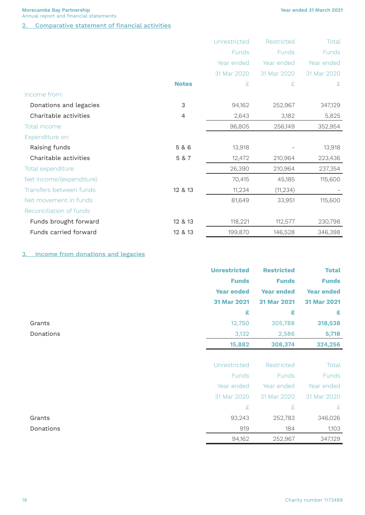**Year ended 31 March 2021**

**Morecambe Bay Partnership** Annual report and financial statements

#### 2. Comparative statement of financial activities

|                          |                | Unrestricted | Restricted  | Total       |
|--------------------------|----------------|--------------|-------------|-------------|
|                          |                | Funds        | Funds       | Funds       |
|                          |                | Year ended   | Year ended  | Year ended  |
|                          |                | 31 Mar 2020  | 31 Mar 2020 | 31 Mar 2020 |
|                          | <b>Notes</b>   | £            | £           | £           |
| Income from:             |                |              |             |             |
| Donations and legacies   | $\mathfrak{Z}$ | 94,162       | 252,967     | 347,129     |
| Charitable activities    | 4              | 2,643        | 3,182       | 5,825       |
| Total income             |                | 96,805       | 256,149     | 352,954     |
| Expenditure on:          |                |              |             |             |
| Raising funds            | 5 & 6          | 13,918       |             | 13,918      |
| Charitable activities    | 5 & 7          | 12,472       | 210,964     | 223,436     |
| Total expenditure        |                | 26,390       | 210,964     | 237,354     |
| Net income/(expenditure) |                | 70,415       | 45,185      | 115,600     |
| Transfers between funds  | 12 & 13        | 11,234       | (11, 234)   |             |
| Net movement in funds    |                | 81,649       | 33,951      | 115,600     |
| Reconciliation of funds  |                |              |             |             |
| Funds brought forward    | 12 & 13        | 118,221      | 112,577     | 230,798     |
| Funds carried forward    | 12 & 13        | 199,870      | 146,528     | 346,398     |

## 3. Income from donations and legacies

|           | <b>Unrestricted</b> | <b>Restricted</b> | <b>Total</b>      |
|-----------|---------------------|-------------------|-------------------|
|           | <b>Funds</b>        | <b>Funds</b>      | <b>Funds</b>      |
|           | <b>Year ended</b>   | <b>Year ended</b> | <b>Year ended</b> |
|           | 31 Mar 2021         | 31 Mar 2021       | 31 Mar 2021       |
|           | £                   | £                 | £                 |
| Grants    | 12,750              | 305,788           | 318,538           |
| Donations | 3,132               | 2,586             | 5,718             |
|           | 15,882              | 308,374           | 324,256           |
|           |                     |                   |                   |
|           | Unrestricted        | Restricted        | Total             |
|           | <b>Funds</b>        | Funds             | <b>Funds</b>      |
|           | Year ended          | Year ended        | Year ended        |
|           | 31 Mar 2020         | 31 Mar 2020       | 31 Mar 2020       |
|           | £                   | £                 | £                 |
| Grants    | 93,243              | 252,783           | 346,026           |
| Donations | 919                 | 184               | 1,103             |
|           | 94,162              | 252,967           | 347,129           |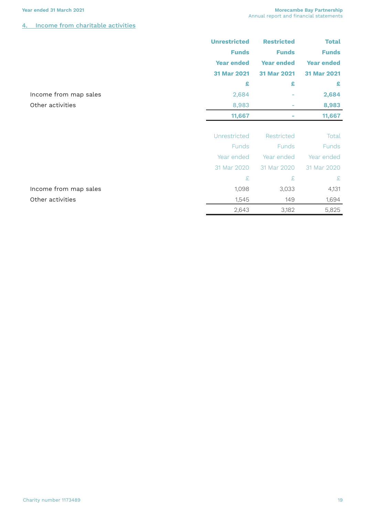#### **Year ended 31 March 2021 Morecambe Bay Partnership** Annual report and financial statements

## 4. Income from charitable activities

|                       | <b>Unrestricted</b> | <b>Restricted</b> | <b>Total</b>      |
|-----------------------|---------------------|-------------------|-------------------|
|                       | <b>Funds</b>        | <b>Funds</b>      | <b>Funds</b>      |
|                       | <b>Year ended</b>   | <b>Year ended</b> | <b>Year ended</b> |
|                       | 31 Mar 2021         | 31 Mar 2021       | 31 Mar 2021       |
|                       | £                   | £                 | £                 |
| Income from map sales | 2,684               |                   | 2,684             |
| Other activities      | 8,983               |                   | 8,983             |
|                       | 11,667              |                   | 11,667            |
|                       |                     |                   |                   |
|                       | Unrestricted        | Restricted        | Total             |
|                       | Funds               | <b>Funds</b>      | <b>Funds</b>      |
|                       | Year ended          | Year ended        | Year ended        |
|                       | 31 Mar 2020         | 31 Mar 2020       | 31 Mar 2020       |
|                       | £                   | £                 | £                 |
| Income from map sales | 1,098               | 3,033             | 4,131             |
| Other activities      | 1,545               | 149               | 1,694             |
|                       | 2,643               | 3,182             | 5,825             |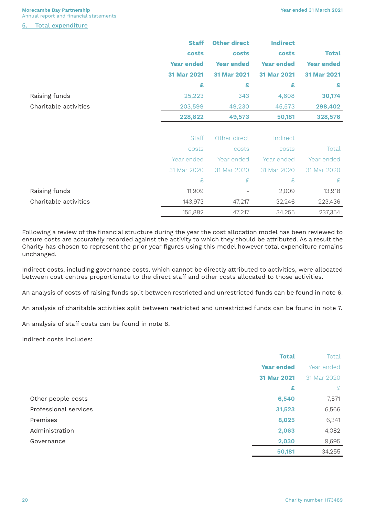**Morecambe Bay Partnership** Annual report and financial statements

Total expenditure

|                       | <b>Staff</b>      | <b>Other direct</b> | <b>Indirect</b>   |                   |
|-----------------------|-------------------|---------------------|-------------------|-------------------|
|                       | costs             | costs               | costs             | <b>Total</b>      |
|                       | <b>Year ended</b> | <b>Year ended</b>   | <b>Year ended</b> | <b>Year ended</b> |
|                       | 31 Mar 2021       | 31 Mar 2021         | 31 Mar 2021       | 31 Mar 2021       |
|                       | £                 | £                   | £                 | £                 |
| Raising funds         | 25,223            | 343                 | 4,608             | 30,174            |
| Charitable activities | 203,599           | 49,230              | 45,573            | 298,402           |
|                       | 228,822           | 49,573              | 50,181            | 328,576           |
|                       |                   |                     |                   |                   |
|                       | <b>Staff</b>      | Other direct        | Indirect          |                   |
|                       | costs             | costs               | costs             | Total             |
|                       | Year ended        | Year ended          | Year ended        | Year ended        |
|                       | 31 Mar 2020       | 31 Mar 2020         | 31 Mar 2020       | 31 Mar 2020       |
|                       | £                 | £                   | £                 | £                 |
| Raising funds         | 11,909            |                     | 2,009             | 13,918            |
| Charitable activities | 143,973           | 47,217              | 32,246            | 223,436           |
|                       | 155,882           | 47,217              | 34,255            | 237,354           |

Following a review of the financial structure during the year the cost allocation model has been reviewed to ensure costs are accurately recorded against the activity to which they should be attributed. As a result the Charity has chosen to represent the prior year figures using this model however total expenditure remains unchanged.

Indirect costs, including governance costs, which cannot be directly attributed to activities, were allocated between cost centres proportionate to the direct staff and other costs allocated to those activities.

An analysis of costs of raising funds split between restricted and unrestricted funds can be found in note 6.

An analysis of charitable activities split between restricted and unrestricted funds can be found in note 7.

An analysis of staff costs can be found in note 8.

Indirect costs includes:

|                       | <b>Total</b>      | Total       |
|-----------------------|-------------------|-------------|
|                       | <b>Year ended</b> | Year ended  |
|                       | 31 Mar 2021       | 31 Mar 2020 |
|                       | £                 | £           |
| Other people costs    | 6,540             | 7,571       |
| Professional services | 31,523            | 6,566       |
| Premises              | 8,025             | 6,341       |
| Administration        | 2,063             | 4,082       |
| Governance            | 2,030             | 9,695       |
|                       | 50,181            | 34,255      |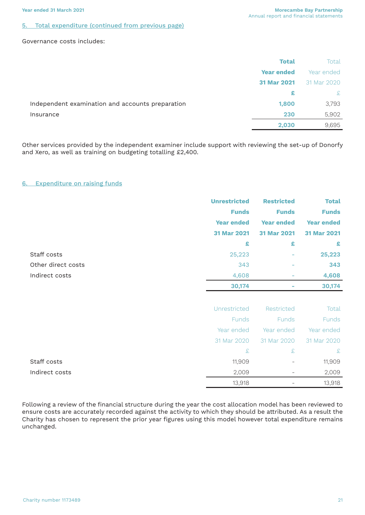#### 5. Total expenditure (continued from previous page)

#### Governance costs includes:

| <b>Total</b>                                              | Total        |
|-----------------------------------------------------------|--------------|
| <b>Year ended</b>                                         | Year ended   |
| 31 Mar 2021                                               | 31 Mar 2020  |
| £                                                         | $\mathbf{E}$ |
| Independent examination and accounts preparation<br>1,800 | 3,793        |
| 230<br>Insurance                                          | 5,902        |
| 2,030                                                     | 9,695        |

Other services provided by the independent examiner include support with reviewing the set-up of Donorfy and Xero, as well as training on budgeting totalling £2,400.

#### 6. Expenditure on raising funds

|                    | <b>Unrestricted</b><br><b>Funds</b><br><b>Year ended</b><br>31 Mar 2021 | <b>Restricted</b><br><b>Funds</b><br><b>Year ended</b><br>31 Mar 2021 | <b>Total</b><br><b>Funds</b><br><b>Year ended</b><br>31 Mar 2021 |
|--------------------|-------------------------------------------------------------------------|-----------------------------------------------------------------------|------------------------------------------------------------------|
|                    | £                                                                       | £                                                                     | £                                                                |
| Staff costs        | 25,223                                                                  |                                                                       | 25,223                                                           |
| Other direct costs | 343                                                                     | ٠                                                                     | 343                                                              |
| Indirect costs     | 4,608                                                                   | -                                                                     | 4,608                                                            |
|                    | 30,174                                                                  |                                                                       | 30,174                                                           |
|                    |                                                                         |                                                                       |                                                                  |
|                    |                                                                         |                                                                       |                                                                  |
|                    | Unrestricted                                                            | Restricted                                                            | Total                                                            |
|                    | <b>Funds</b>                                                            | <b>Funds</b>                                                          | Funds                                                            |
|                    | Year ended                                                              | Year ended                                                            | Year ended                                                       |
|                    | 31 Mar 2020                                                             | 31 Mar 2020                                                           | 31 Mar 2020                                                      |
|                    | £                                                                       | £                                                                     | £                                                                |

Indirect costs 2,009 - 2,009

Following a review of the financial structure during the year the cost allocation model has been reviewed to ensure costs are accurately recorded against the activity to which they should be attributed. As a result the Charity has chosen to represent the prior year figures using this model however total expenditure remains unchanged.

13,918 - 13,918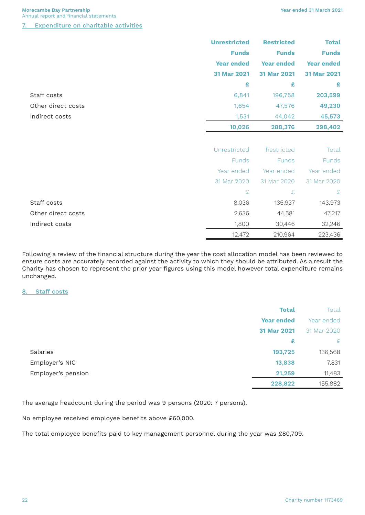**Morecambe Bay Partnership** Annual report and financial statements

7. Expenditure on charitable activities

|                    | <b>Unrestricted</b> | <b>Restricted</b> | <b>Total</b>      |
|--------------------|---------------------|-------------------|-------------------|
|                    | <b>Funds</b>        | <b>Funds</b>      | <b>Funds</b>      |
|                    | <b>Year ended</b>   | <b>Year ended</b> | <b>Year ended</b> |
|                    | 31 Mar 2021         | 31 Mar 2021       | 31 Mar 2021       |
|                    | £                   | £                 | £                 |
| Staff costs        | 6,841               | 196,758           | 203,599           |
| Other direct costs | 1,654               | 47,576            | 49,230            |
| Indirect costs     | 1,531               | 44,042            | 45,573            |
|                    | 10,026              | 288,376           | 298,402           |
|                    |                     |                   |                   |
|                    | Unrestricted        | Restricted        | Total             |
|                    | Funds               | Funds             | <b>Funds</b>      |
|                    | Year ended          | Year ended        | Year ended        |
|                    | 31 Mar 2020         | 31 Mar 2020       | 31 Mar 2020       |
|                    | £                   | £                 | £                 |
| Staff costs        | 8,036               | 135,937           | 143,973           |
| Other direct costs | 2,636               | 44,581            | 47,217            |
| Indirect costs     | 1,800               | 30,446            | 32,246            |
|                    | 12,472              | 210,964           | 223,436           |

Following a review of the financial structure during the year the cost allocation model has been reviewed to ensure costs are accurately recorded against the activity to which they should be attributed. As a result the Charity has chosen to represent the prior year figures using this model however total expenditure remains unchanged.

#### 8. Staff costs

|                    | <b>Total</b>      | Total       |
|--------------------|-------------------|-------------|
|                    | <b>Year ended</b> | Year ended  |
|                    | 31 Mar 2021       | 31 Mar 2020 |
|                    | £                 | £           |
| <b>Salaries</b>    | 193,725           | 136,568     |
| Employer's NIC     | 13,838            | 7,831       |
| Employer's pension | 21,259            | 11,483      |
|                    | 228,822           | 155,882     |

The average headcount during the period was 9 persons (2020: 7 persons).

No employee received employee benefits above £60,000.

The total employee benefits paid to key management personnel during the year was £80,709.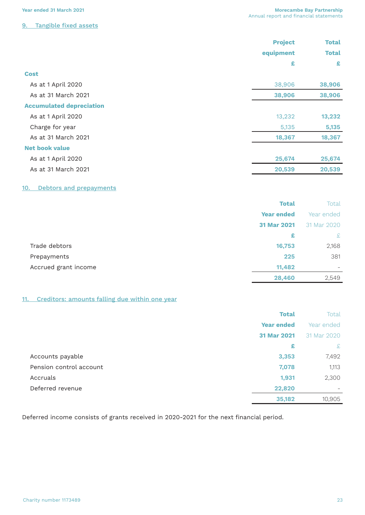|                                 | <b>Project</b> | <b>Total</b> |  |
|---------------------------------|----------------|--------------|--|
|                                 | equipment      | <b>Total</b> |  |
|                                 | £              | £            |  |
| <b>Cost</b>                     |                |              |  |
| As at 1 April 2020              | 38,906         | 38,906       |  |
| As at 31 March 2021             | 38,906         | 38,906       |  |
| <b>Accumulated depreciation</b> |                |              |  |
| As at 1 April 2020              | 13,232         | 13,232       |  |
| Charge for year                 | 5,135          | 5,135        |  |
| As at 31 March 2021             | 18,367         | 18,367       |  |
| <b>Net book value</b>           |                |              |  |
| As at 1 April 2020              | 25,674         | 25,674       |  |
| As at 31 March 2021             | 20,539         | 20,539       |  |

#### 10. Debtors and prepayments

|                      | <b>Total</b>      | Total                        |
|----------------------|-------------------|------------------------------|
|                      | <b>Year ended</b> | Year ended                   |
|                      | 31 Mar 2021       | 31 Mar 2020                  |
|                      | £                 | £                            |
| Trade debtors        | 16,753            | 2,168                        |
| Prepayments          | 225               | 381                          |
| Accrued grant income | 11,482            | $\qquad \qquad \blacksquare$ |
|                      | 28,460            | 2,549                        |

## 11. Creditors: amounts falling due within one year

|                         | <b>Total</b>      | Total       |
|-------------------------|-------------------|-------------|
|                         | <b>Year ended</b> | Year ended  |
|                         | 31 Mar 2021       | 31 Mar 2020 |
|                         | £                 | £           |
| Accounts payable        | 3,353             | 7,492       |
| Pension control account | 7,078             | 1,113       |
| Accruals                | 1,931             | 2,300       |
| Deferred revenue        | 22,820            |             |
|                         | 35,182            | 10,905      |

Deferred income consists of grants received in 2020-2021 for the next financial period.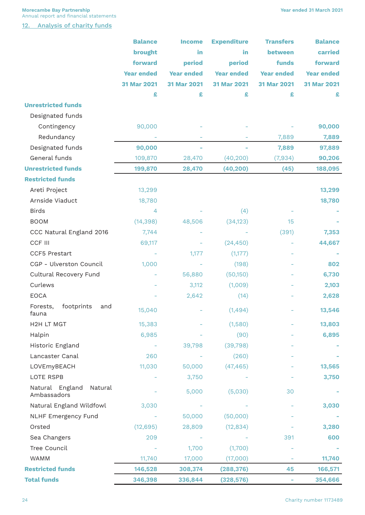**Morecambe Bay Partnership** Annual report and financial statements

12. Analysis of charity funds

|                                           | <b>Balance</b>    | <b>Income</b>     | <b>Expenditure</b> | Transfers         | <b>Balance</b>    |
|-------------------------------------------|-------------------|-------------------|--------------------|-------------------|-------------------|
|                                           | brought           | in                | in                 | between           | carried           |
|                                           | forward           | period            | period             | funds             | forward           |
|                                           | <b>Year ended</b> | <b>Year ended</b> | <b>Year ended</b>  | <b>Year ended</b> | <b>Year ended</b> |
|                                           | 31 Mar 2021       | 31 Mar 2021       | 31 Mar 2021        | 31 Mar 2021       | 31 Mar 2021       |
|                                           | £                 | £                 | £                  | £                 | £                 |
| <b>Unrestricted funds</b>                 |                   |                   |                    |                   |                   |
| Designated funds                          |                   |                   |                    |                   |                   |
| Contingency                               | 90,000            |                   |                    |                   | 90,000            |
| Redundancy                                |                   |                   |                    | 7,889             | 7,889             |
| Designated funds                          | 90,000            |                   |                    | 7,889             | 97,889            |
| General funds                             | 109,870           | 28,470            | (40, 200)          | (7,934)           | 90,206            |
| <b>Unrestricted funds</b>                 | 199,870           | 28,470            | (40, 200)          | (45)              | 188,095           |
| <b>Restricted funds</b>                   |                   |                   |                    |                   |                   |
| Areti Project                             | 13,299            |                   |                    |                   | 13,299            |
| Arnside Viaduct                           | 18,780            |                   |                    |                   | 18,780            |
| <b>Birds</b>                              | $\overline{4}$    |                   | (4)                |                   |                   |
| <b>BOOM</b>                               | (14, 398)         | 48,506            | (34, 123)          | 15                |                   |
| CCC Natural England 2016                  | 7,744             |                   |                    | (391)             | 7,353             |
| CCF III                                   | 69,117            |                   | (24, 450)          |                   | 44,667            |
| CCF5 Prestart                             |                   | 1,177             | (1,177)            |                   |                   |
| CGP - Ulverston Council                   | 1,000             |                   | (198)              |                   | 802               |
| Cultural Recovery Fund                    |                   | 56,880            | (50,150)           |                   | 6,730             |
| Curlews                                   |                   | 3,112             | (1,009)            |                   | 2,103             |
| <b>EOCA</b>                               |                   | 2,642             | (14)               |                   | 2,628             |
| footprints<br>Forests,<br>and<br>fauna    | 15,040            |                   | (1,494)            |                   | 13,546            |
| H2H LT MGT                                | 15,383            |                   | (1,580)            |                   | 13,803            |
| Halpin                                    | 6,985             |                   | (90)               |                   | 6,895             |
| Historic England                          |                   | 39,798            | (39, 798)          |                   |                   |
| Lancaster Canal                           | 260               |                   | (260)              |                   |                   |
| LOVEmyBEACH                               | 11,030            | 50,000            | (47, 465)          |                   | 13,565            |
| LOTE RSPB                                 |                   | 3,750             |                    |                   | 3,750             |
| Natural England<br>Natural<br>Ambassadors |                   | 5,000             | (5,030)            | 30                |                   |
| Natural England Wildfowl                  | 3,030             |                   |                    |                   | 3,030             |
| <b>NLHF Emergency Fund</b>                |                   | 50,000            | (50,000)           |                   |                   |
| Orsted                                    | (12, 695)         | 28,809            | (12, 834)          |                   | 3,280             |
| Sea Changers                              | 209               |                   |                    | 391               | 600               |
| Tree Council                              |                   | 1,700             | (1,700)            |                   |                   |
| WAMM                                      | 11,740            | 17,000            | (17,000)           |                   | 11,740            |
| <b>Restricted funds</b>                   | 146,528           | 308,374           | (288, 376)         | 45                | 166,571           |
| <b>Total funds</b>                        | 346,398           | 336,844           | (328, 576)         |                   | 354,666           |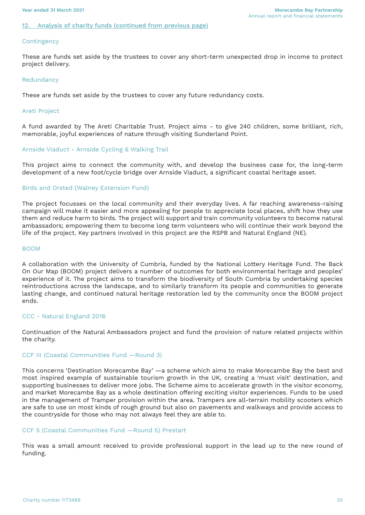#### Analysis of charity funds (continued from previous page)

#### **Contingency**

These are funds set aside by the trustees to cover any short-term unexpected drop in income to protect project delivery.

#### Redundancy

These are funds set aside by the trustees to cover any future redundancy costs.

#### Areti Project

A fund awarded by The Areti Charitable Trust. Project aims - to give 240 children, some brilliant, rich, memorable, joyful experiences of nature through visiting Sunderland Point.

#### Arnside Viaduct - Arnside Cycling & Walking Trail

This project aims to connect the community with, and develop the business case for, the long-term development of a new foot/cycle bridge over Arnside Viaduct, a significant coastal heritage asset.

#### Birds and Orsted (Walney Extension Fund)

The project focusses on the local community and their everyday lives. A far reaching awareness-raising campaign will make it easier and more appealing for people to appreciate local places, shift how they use them and reduce harm to birds. The project will support and train community volunteers to become natural ambassadors; empowering them to become long term volunteers who will continue their work beyond the life of the project. Key partners involved in this project are the RSPB and Natural England (NE).

#### BOOM

A collaboration with the University of Cumbria, funded by the National Lottery Heritage Fund. The Back On Our Map (BOOM) project delivers a number of outcomes for both environmental heritage and peoples' experience of it. The project aims to transform the biodiversity of South Cumbria by undertaking species reintroductions across the landscape, and to similarly transform its people and communities to generate lasting change, and continued natural heritage restoration led by the community once the BOOM project ends.

#### CCC - Natural England 2016

Continuation of the Natural Ambassadors project and fund the provision of nature related projects within the charity.

#### CCF III (Coastal Communities Fund —Round 3)

This concerns 'Destination Morecambe Bay' —a scheme which aims to make Morecambe Bay the best and most inspired example of sustainable tourism growth in the UK, creating a 'must visit' destination, and supporting businesses to deliver more jobs. The Scheme aims to accelerate growth in the visitor economy, and market Morecambe Bay as a whole destination offering exciting visitor experiences. Funds to be used in the management of Tramper provision within the area. Trampers are all-terrain mobility scooters which are safe to use on most kinds of rough ground but also on pavements and walkways and provide access to the countryside for those who may not always feel they are able to.

#### CCF 5 (Coastal Communities Fund —Round 5) Prestart

This was a small amount received to provide professional support in the lead up to the new round of funding.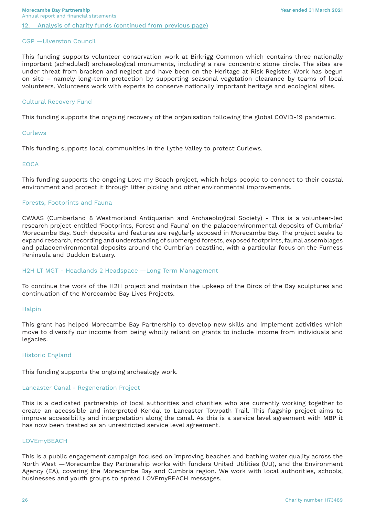#### CGP —Ulverston Council

This funding supports volunteer conservation work at Birkrigg Common which contains three nationally important (scheduled) archaeological monuments, including a rare concentric stone circle. The sites are under threat from bracken and neglect and have been on the Heritage at Risk Register. Work has begun on site - namely long-term protection by supporting seasonal vegetation clearance by teams of local volunteers. Volunteers work with experts to conserve nationally important heritage and ecological sites.

#### Cultural Recovery Fund

This funding supports the ongoing recovery of the organisation following the global COVID-19 pandemic.

#### Curlews

This funding supports local communities in the Lythe Valley to protect Curlews.

#### **EOCA**

This funding supports the ongoing Love my Beach project, which helps people to connect to their coastal environment and protect it through litter picking and other environmental improvements.

#### Forests, Footprints and Fauna

CWAAS (Cumberland 8 Westmorland Antiquarian and Archaeological Society) - This is a volunteer-led research project entitled 'Footprints, Forest and Fauna' on the palaeoenvironmental deposits of Cumbria/ Morecambe Bay. Such deposits and features are regularly exposed in Morecambe Bay. The project seeks to expand research, recording and understanding of submerged forests, exposed footprints, faunal assemblages and palaeoenvironmental deposits around the Cumbrian coastline, with a particular focus on the Furness Peninsula and Duddon Estuary.

#### H2H LT MGT - Headlands 2 Headspace —Long Term Management

To continue the work of the H2H project and maintain the upkeep of the Birds of the Bay sculptures and continuation of the Morecambe Bay Lives Projects.

#### Halpin

This grant has helped Morecambe Bay Partnership to develop new skills and implement activities which move to diversify our income from being wholly reliant on grants to include income from individuals and legacies.

#### Historic England

This funding supports the ongoing archealogy work.

#### Lancaster Canal - Regeneration Project

This is a dedicated partnership of local authorities and charities who are currently working together to create an accessible and interpreted Kendal to Lancaster Towpath Trail. This flagship project aims to improve accessibility and interpretation along the canal. As this is a service level agreement with MBP it has now been treated as an unrestricted service level agreement.

#### LOVEmyBEACH

This is a public engagement campaign focused on improving beaches and bathing water quality across the North West —Morecambe Bay Partnership works with funders United Utilities (UU), and the Environment Agency (EA), covering the Morecambe Bay and Cumbria region. We work with local authorities, schools, businesses and youth groups to spread LOVEmyBEACH messages.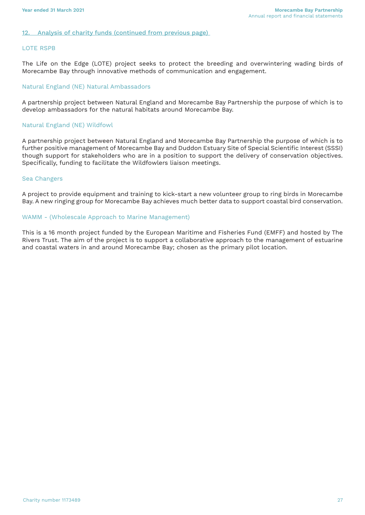#### 12. Analysis of charity funds (continued from previous page)

#### LOTE RSPB

The Life on the Edge (LOTE) project seeks to protect the breeding and overwintering wading birds of Morecambe Bay through innovative methods of communication and engagement.

#### Natural England (NE) Natural Ambassadors

A partnership project between Natural England and Morecambe Bay Partnership the purpose of which is to develop ambassadors for the natural habitats around Morecambe Bay.

#### Natural England (NE) Wildfowl

A partnership project between Natural England and Morecambe Bay Partnership the purpose of which is to further positive management of Morecambe Bay and Duddon Estuary Site of Special Scientific Interest (SSSI) though support for stakeholders who are in a position to support the delivery of conservation objectives. Specifically, funding to facilitate the Wildfowlers liaison meetings.

#### Sea Changers

A project to provide equipment and training to kick-start a new volunteer group to ring birds in Morecambe Bay. A new ringing group for Morecambe Bay achieves much better data to support coastal bird conservation.

#### WAMM - (Wholescale Approach to Marine Management)

This is a 16 month project funded by the European Maritime and Fisheries Fund (EMFF) and hosted by The Rivers Trust. The aim of the project is to support a collaborative approach to the management of estuarine and coastal waters in and around Morecambe Bay; chosen as the primary pilot location.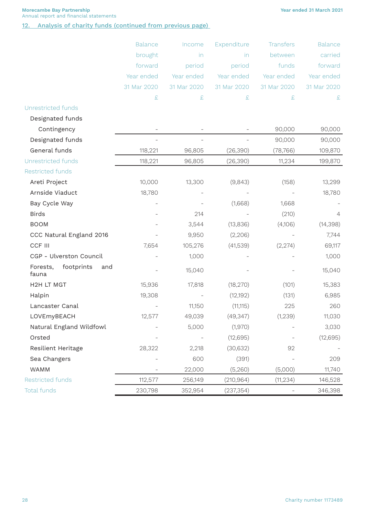**Year ended 31 March 2021**

**Morecambe Bay Partnership** Annual report and financial statements

12. Analysis of charity funds (continued from previous page)

|                                        | <b>Balance</b>           | Income      | Expenditure | <b>Transfers</b> | <b>Balance</b> |
|----------------------------------------|--------------------------|-------------|-------------|------------------|----------------|
|                                        | brought                  | in          | in          | between          | carried        |
|                                        | forward                  | period      | period      | funds            | forward        |
|                                        | Year ended               | Year ended  | Year ended  | Year ended       | Year ended     |
|                                        | 31 Mar 2020              | 31 Mar 2020 | 31 Mar 2020 | 31 Mar 2020      | 31 Mar 2020    |
|                                        | £                        | $\pounds$   | £           | £                | £              |
| Unrestricted funds                     |                          |             |             |                  |                |
| Designated funds                       |                          |             |             |                  |                |
| Contingency                            |                          |             |             | 90,000           | 90,000         |
| Designated funds                       |                          |             |             | 90,000           | 90,000         |
| General funds                          | 118,221                  | 96,805      | (26, 390)   | (78, 766)        | 109,870        |
| <b>Unrestricted funds</b>              | 118,221                  | 96,805      | (26, 390)   | 11,234           | 199,870        |
| Restricted funds                       |                          |             |             |                  |                |
| Areti Project                          | 10,000                   | 13,300      | (9,843)     | (158)            | 13,299         |
| Arnside Viaduct                        | 18,780                   |             |             |                  | 18,780         |
| Bay Cycle Way                          |                          |             | (1,668)     | 1,668            |                |
| <b>Birds</b>                           |                          | 214         |             | (210)            | $\overline{4}$ |
| <b>BOOM</b>                            |                          | 3,544       | (13,836)    | (4,106)          | (14, 398)      |
| CCC Natural England 2016               |                          | 9,950       | (2,206)     |                  | 7,744          |
| CCF III                                | 7,654                    | 105,276     | (41,539)    | (2,274)          | 69,117         |
| CGP - Ulverston Council                |                          | 1,000       |             |                  | 1,000          |
| footprints<br>Forests,<br>and<br>fauna |                          | 15,040      |             |                  | 15,040         |
| H2H LT MGT                             | 15,936                   | 17,818      | (18, 270)   | (101)            | 15,383         |
| Halpin                                 | 19,308                   |             | (12, 192)   | (131)            | 6,985          |
| Lancaster Canal                        |                          | 11,150      | (11, 115)   | 225              | 260            |
| LOVEmyBEACH                            | 12,577                   | 49,039      | (49, 347)   | (1,239)          | 11,030         |
| Natural England Wildfowl               |                          | 5,000       | (1,970)     |                  | 3,030          |
| Orsted                                 | $\overline{\phantom{a}}$ |             | (12, 695)   |                  | (12,695)       |
| Resilient Heritage                     | 28,322                   | 2,218       | (30, 632)   | 92               |                |
| Sea Changers                           |                          | 600         | (391)       |                  | 209            |
| WAMM                                   |                          | 22,000      | (5,260)     | (5,000)          | 11,740         |
| <b>Restricted funds</b>                | 112,577                  | 256,149     | (210, 964)  | (11, 234)        | 146,528        |
| <b>Total funds</b>                     | 230,798                  | 352,954     | (237, 354)  |                  | 346,398        |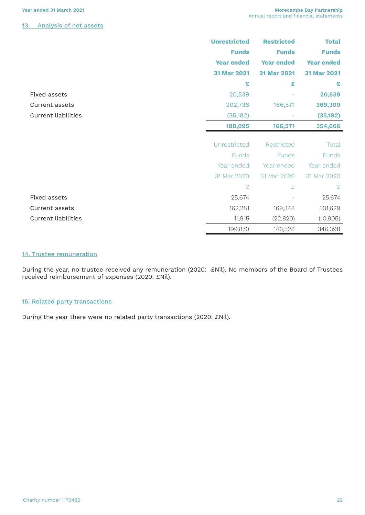#### 13. Analysis of net assets

|                            | <b>Unrestricted</b> | <b>Restricted</b> | <b>Total</b>      |
|----------------------------|---------------------|-------------------|-------------------|
|                            | <b>Funds</b>        | <b>Funds</b>      | <b>Funds</b>      |
|                            | <b>Year ended</b>   | <b>Year ended</b> | <b>Year ended</b> |
|                            | 31 Mar 2021         | 31 Mar 2021       | 31 Mar 2021       |
|                            | £                   | £                 | £                 |
| <b>Fixed assets</b>        | 20,539              |                   | 20,539            |
| Current assets             | 202,738             | 166,571           | 369,309           |
| <b>Current liabilities</b> | (35, 182)           |                   | (35, 182)         |
|                            | 188,095             | 166,571           | 354,666           |
|                            |                     |                   |                   |
|                            | Unrestricted        | Restricted        | Total             |
|                            | <b>Funds</b>        | Funds             | <b>Funds</b>      |
|                            | Year ended          | Year ended        | Year ended        |
|                            | 31 Mar 2020         | 31 Mar 2020       | 31 Mar 2020       |
|                            | £                   | £                 | £                 |
| Fixed assets               | 25,674              |                   | 25,674            |
| Current assets             | 162,281             | 169,348           | 331,629           |
| <b>Current liabilities</b> | 11,915              | (22, 820)         | (10, 905)         |
|                            | 199,870             | 146,528           | 346,398           |

#### 14. Trustee remuneration

During the year, no trustee received any remuneration (2020: £Nil). No members of the Board of Trustees received reimbursement of expenses (2020: £Nil).

#### 15. Related party transactions

During the year there were no related party transactions (2020: £Nil).